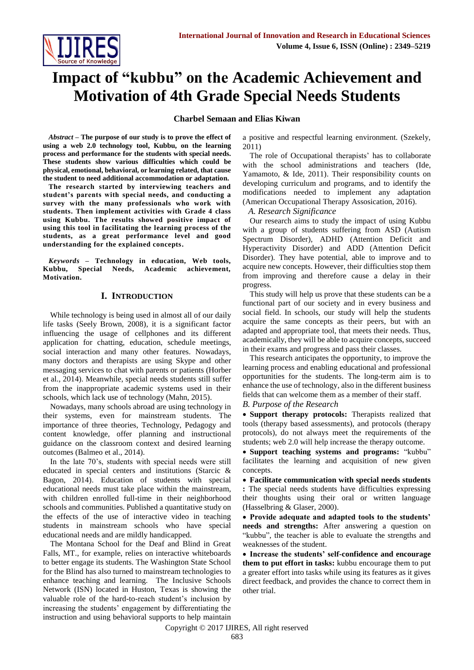

# **Impact of "kubbu" on the Academic Achievement and Motivation of 4th Grade Special Needs Students**

# **Charbel Semaan and Elias Kiwan**

*Abstract* **– The purpose of our study is to prove the effect of using a web 2.0 technology tool, Kubbu, on the learning process and performance for the students with special needs. These students show various difficulties which could be physical, emotional, behavioral, or learning related, that cause the student to need additional accommodation or adaptation.** 

**The research started by interviewing teachers and student's parents with special needs, and conducting a survey with the many professionals who work with students. Then implement activities with Grade 4 class using Kubbu. The results showed positive impact of using this tool in facilitating the learning process of the students, as a great performance level and good understanding for the explained concepts.**

*Keywords* **– Technology in education, Web tools, Kubbu, Special Needs, Academic achievement, Motivation.**

## **I. INTRODUCTION**

While technology is being used in almost all of our daily life tasks (Seely Brown, 2008), it is a significant factor influencing the usage of cellphones and its different application for chatting, education, schedule meetings, social interaction and many other features. Nowadays, many doctors and therapists are using Skype and other messaging services to chat with parents or patients (Horber et al., 2014). Meanwhile, special needs students still suffer from the inappropriate academic systems used in their schools, which lack use of technology (Mahn, 2015).

Nowadays, many schools abroad are using technology in their systems, even for mainstream students. The importance of three theories, Technology, Pedagogy and content knowledge, offer planning and instructional guidance on the classroom context and desired learning outcomes (Balmeo et al., 2014).

In the late 70's, students with special needs were still educated in special centers and institutions (Starcic & Bagon, 2014). Education of students with special educational needs must take place within the mainstream, with children enrolled full-time in their neighborhood schools and communities. Published a quantitative study on the effects of the use of interactive video in teaching students in mainstream schools who have special educational needs and are mildly handicapped.

The Montana School for the Deaf and Blind in Great Falls, MT., for example, relies on interactive whiteboards to better engage its students. The Washington State School for the Blind has also turned to mainstream technologies to enhance teaching and learning. The Inclusive Schools Network (ISN) located in Huston, Texas is showing the valuable role of the hard-to-reach student's inclusion by increasing the students' engagement by differentiating the instruction and using behavioral supports to help maintain a positive and respectful learning environment. (Szekely, 2011)

The role of Occupational therapists' has to collaborate with the school administrations and teachers (Ide, Yamamoto, & Ide, 2011). Their responsibility counts on developing curriculum and programs, and to identify the modifications needed to implement any adaptation (American Occupational Therapy Assosication, 2016).

*A. Research Significance*

Our research aims to study the impact of using Kubbu with a group of students suffering from ASD (Autism Spectrum Disorder), ADHD (Attention Deficit and Hyperactivity Disorder) and ADD (Attention Deficit Disorder). They have potential, able to improve and to acquire new concepts. However, their difficulties stop them from improving and therefore cause a delay in their progress.

This study will help us prove that these students can be a functional part of our society and in every business and social field. In schools, our study will help the students acquire the same concepts as their peers, but with an adapted and appropriate tool, that meets their needs. Thus, academically, they will be able to acquire concepts, succeed in their exams and progress and pass their classes.

This research anticipates the opportunity, to improve the learning process and enabling educational and professional opportunities for the students. The long-term aim is to enhance the use of technology, also in the different business fields that can welcome them as a member of their staff.

*B. Purpose of the Research*

 **Support therapy protocols:** Therapists realized that tools (therapy based assessments), and protocols (therapy protocols), do not always meet the requirements of the students; web 2.0 will help increase the therapy outcome.

 **Support teaching systems and programs:** "kubbu" facilitates the learning and acquisition of new given concepts.

 **Facilitate communication with special needs students :** The special needs students have difficulties expressing their thoughts using their oral or written language (Hasselbring & Glaser, 2000).

 **Provide adequate and adapted tools to the students' needs and strengths:** After answering a question on "kubbu", the teacher is able to evaluate the strengths and weaknesses of the student.

 **Increase the students' self-confidence and encourage them to put effort in tasks:** kubbu encourage them to put a greater effort into tasks while using its features as it gives direct feedback, and provides the chance to correct them in other trial.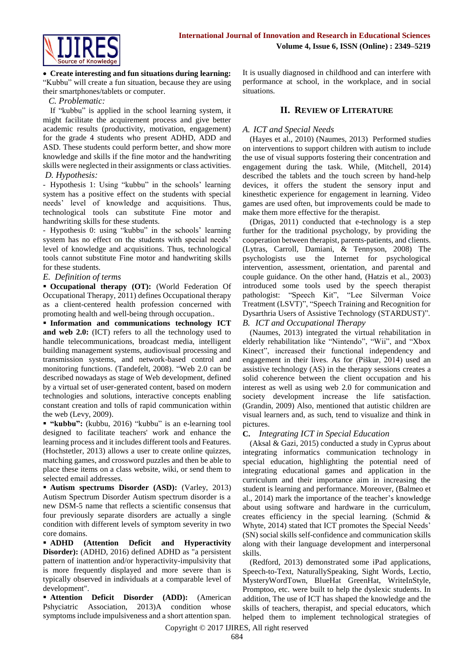

 **Create interesting and fun situations during learning:**  "Kubbu" will create a fun situation, because they are using their smartphones/tablets or computer.

## *C. Problematic:*

If "kubbu" is applied in the school learning system, it might facilitate the acquirement process and give better academic results (productivity, motivation, engagement) for the grade 4 students who present ADHD, ADD and ASD. These students could perform better, and show more knowledge and skills if the fine motor and the handwriting skills were neglected in their assignments or class activities. *D. Hypothesis:*

- Hypothesis 1: Using "kubbu" in the schools' learning system has a positive effect on the students with special needs' level of knowledge and acquisitions. Thus, technological tools can substitute Fine motor and handwriting skills for these students.

- Hypothesis 0: using "kubbu" in the schools' learning system has no effect on the students with special needs' level of knowledge and acquisitions. Thus, technological tools cannot substitute Fine motor and handwriting skills for these students.

# *E. Definition of terms*

 **Occupational therapy (OT):** (World Federation Of Occupational Therapy, 2011) defines Occupational therapy as a client-centered health profession concerned with promoting health and well-being through occupation..

 **Information and communications technology ICT and web 2.0:** (ICT) refers to all the technology used to handle telecommunications, broadcast media, intelligent building management systems, audiovisual processing and transmission systems, and network-based control and monitoring functions. (Tandefelt, 2008). "Web 2.0 can be described nowadays as stage of Web development, defined by a virtual set of user-generated content, based on modern technologies and solutions, interactive concepts enabling constant creation and tolls of rapid communication within the web (Levy, 2009).

 **"kubbu":** (kubbu, 2016) "kubbu" is an e-learning tool designed to facilitate teachers' work and enhance the learning process and it includes different tools and Features. (Hochstetler, 2013) allows a user to create online quizzes, matching games, and crossword puzzles and then be able to place these items on a class website, wiki, or send them to selected email addresses.

 **Autism spectrums Disorder (ASD):** (Varley, 2013) Autism Spectrum Disorder Autism spectrum disorder is a new DSM-5 name that reflects a scientific consensus that four previously separate disorders are actually a single condition with different levels of symptom severity in two core domains.

 **ADHD (Attention Deficit and Hyperactivity Disorder):** (ADHD, 2016) defined ADHD as "a persistent pattern of inattention and/or hyperactivity-impulsivity that is more frequently displayed and more severe than is typically observed in individuals at a comparable level of development".

 **Attention Deficit Disorder (ADD):** (American Pshyciatric Association, 2013)A condition whose symptoms include impulsiveness and a short attention span. It is usually diagnosed in childhood and can interfere with performance at school, in the workplace, and in social situations.

# **II. REVIEW OF LITERATURE**

# *A. ICT and Special Needs*

(Hayes et al., 2010) (Naumes, 2013) Performed studies on interventions to support children with autism to include the use of visual supports fostering their concentration and engagement during the task. While, (Mitchell, 2014) described the tablets and the touch screen by hand-help devices, it offers the student the sensory input and kinesthetic experience for engagement in learning. Video games are used often, but improvements could be made to make them more effective for the therapist.

(Drigas, 2011) conducted that e-technology is a step further for the traditional psychology, by providing the cooperation between therapist, parents-patients, and clients. (Lytras, Carroll, Damiani, & Tennyson, 2008) The psychologists use the Internet for psychological intervention, assessment, orientation, and parental and couple guidance. On the other hand, (Hatzis et al., 2003) introduced some tools used by the speech therapist pathologist: "Speech Kit", "Lee Silverman Voice Treatment (LSVT)", "Speech Training and Recognition for Dysarthria Users of Assistive Technology (STARDUST)".

*B. ICT and Occupational Therapy*

(Naumes, 2013) integrated the virtual rehabilitation in elderly rehabilitation like "Nintendo", "Wii", and "Xbox Kinect", increased their functional independency and engagement in their lives. As for (Piškur, 2014) used an assistive technology (AS) in the therapy sessions creates a solid coherence between the client occupation and his interest as well as using web 2.0 for communication and society development increase the life satisfaction. (Grandin, 2009) Also, mentioned that autistic children are visual learners and, as such, tend to visualize and think in pictures.

# **C.** *Integrating ICT in Special Education*

(Aksal & Gazi, 2015) conducted a study in Cyprus about integrating informatics communication technology in special education, highlighting the potential need of integrating educational games and application in the curriculum and their importance aim in increasing the student is learning and performance. Moreover, (Balmeo et al., 2014) mark the importance of the teacher's knowledge about using software and hardware in the curriculum, creates efficiency in the special learning. (Schmid & Whyte, 2014) stated that ICT promotes the Special Needs' (SN) social skills self-confidence and communication skills along with their language development and interpersonal skills.

(Redford, 2013) demonstrated some iPad applications, Speech-to-Text, NaturallySpeaking, Sight Words, Lectio, MysteryWordTown, BlueHat GreenHat, WriteInStyle, Promptoo, etc. were built to help the dyslexic students. In addition, The use of ICT has shaped the knowledge and the skills of teachers, therapist, and special educators, which helped them to implement technological strategies of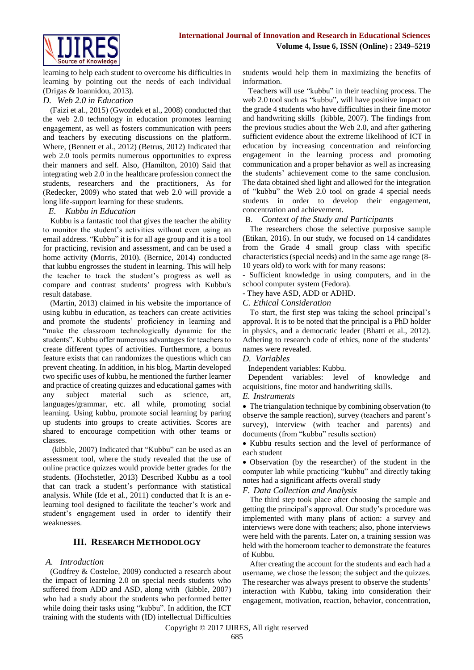learning to help each student to overcome his difficulties in learning by pointing out the needs of each individual (Drigas & Ioannidou, 2013).

# *D. Web 2.0 in Education*

(Faizi et al., 2015) (Gwozdek et al., 2008) conducted that the web 2.0 technology in education promotes learning engagement, as well as fosters communication with peers and teachers by executing discussions on the platform. Where, (Bennett et al., 2012) (Betrus, 2012) Indicated that web 2.0 tools permits numerous opportunities to express their manners and self. Also, (Hamilton, 2010) Said that integrating web 2.0 in the healthcare profession connect the students, researchers and the practitioners, As for (Redecker, 2009) who stated that web 2.0 will provide a long life-support learning for these students.

# *E. Kubbu in Education*

Kubbu is a fantastic tool that gives the teacher the ability to monitor the student's activities without even using an email address. "Kubbu" it is for all age group and it is a tool for practicing, revision and assessment, and can be used a home activity (Morris, 2010). (Bernice, 2014) conducted that kubbu engrosses the student in learning. This will help the teacher to track the student's progress as well as compare and contrast students' progress with Kubbu's result database.

(Martin, 2013) claimed in his website the importance of using kubbu in education, as teachers can create activities and promote the students' proficiency in learning and "make the classroom technologically dynamic for the students". Kubbu offer numerous advantages for teachers to create different types of activities. Furthermore, a bonus feature exists that can randomizes the questions which can prevent cheating. In addition, in his blog, Martin developed two specific uses of kubbu, he mentioned the further learner and practice of creating quizzes and educational games with any subject material such as science, art, languages/grammar, etc. all while, promoting social learning. Using kubbu, promote social learning by paring up students into groups to create activities. Scores are shared to encourage competition with other teams or classes.

(kibble, 2007) Indicated that "Kubbu" can be used as an assessment tool, where the study revealed that the use of online practice quizzes would provide better grades for the students. (Hochstetler, 2013) Described Kubbu as a tool that can track a student's performance with statistical analysis. While (Ide et al., 2011) conducted that It is an elearning tool designed to facilitate the teacher's work and student's engagement used in order to identify their weaknesses.

# **III. RESEARCH METHODOLOGY**

# *A. Introduction*

(Godfrey & Costeloe, 2009) conducted a research about the impact of learning 2.0 on special needs students who suffered from ADD and ASD, along with (kibble, 2007) who had a study about the students who performed better while doing their tasks using "kubbu". In addition, the ICT training with the students with (ID) intellectual Difficulties

students would help them in maximizing the benefits of information.

Teachers will use "kubbu" in their teaching process. The web 2.0 tool such as "kubbu", will have positive impact on the grade 4 students who have difficulties in their fine motor and handwriting skills (kibble, 2007). The findings from the previous studies about the Web 2.0, and after gathering sufficient evidence about the extreme likelihood of ICT in education by increasing concentration and reinforcing engagement in the learning process and promoting communication and a proper behavior as well as increasing the students' achievement come to the same conclusion. The data obtained shed light and allowed for the integration of "kubbu" the Web 2.0 tool on grade 4 special needs students in order to develop their engagement, concentration and achievement.

## B. *Context of the Study and Participants*

The researchers chose the selective purposive sample (Etikan, 2016). In our study, we focused on 14 candidates from the Grade 4 small group class with specific characteristics (special needs) and in the same age range (8- 10 years old) to work with for many reasons:

- Sufficient knowledge in using computers, and in the school computer system (Fedora).

# - They have ASD, ADD or ADHD.

*C. Ethical Consideration*

To start, the first step was taking the school principal's approval. It is to be noted that the principal is a PhD holder in physics, and a democratic leader (Bhatti et al., 2012). Adhering to research code of ethics, none of the students' names were revealed.

## *D. Variables*

Independent variables: Kubbu.

Dependent variables: level of knowledge and acquisitions, fine motor and handwriting skills.

## *E. Instruments*

• The triangulation technique by combining observation (to observe the sample reaction), survey (teachers and parent's survey), interview (with teacher and parents) and documents (from "kubbu" results section)

 Kubbu results section and the level of performance of each student

 Observation (by the researcher) of the student in the computer lab while practicing "kubbu" and directly taking notes had a significant affects overall study

*F. Data Collection and Analysis*

The third step took place after choosing the sample and getting the principal's approval. Our study's procedure was implemented with many plans of action: a survey and interviews were done with teachers; also, phone interviews were held with the parents. Later on, a training session was held with the homeroom teacher to demonstrate the features of Kubbu.

After creating the account for the students and each had a username, we chose the lesson; the subject and the quizzes. The researcher was always present to observe the students' interaction with Kubbu, taking into consideration their engagement, motivation, reaction, behavior, concentration,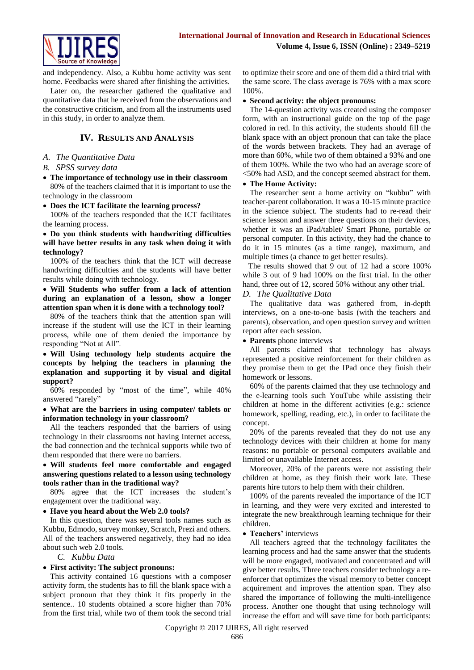

and independency. Also, a Kubbu home activity was sent home. Feedbacks were shared after finishing the activities.

Later on, the researcher gathered the qualitative and quantitative data that he received from the observations and the constructive criticism, and from all the instruments used in this study, in order to analyze them.

# **IV. RESULTS AND ANALYSIS**

#### *A. The Quantitative Data*

- *B. SPSS survey data*
- **The importance of technology use in their classroom** 80% of the teachers claimed that it is important to use the technology in the classroom
- **Does the ICT facilitate the learning process?**

100% of the teachers responded that the ICT facilitates the learning process.

 **Do you think students with handwriting difficulties will have better results in any task when doing it with technology?**

100% of the teachers think that the ICT will decrease handwriting difficulties and the students will have better results while doing with technology.

 **Will Students who suffer from a lack of attention during an explanation of a lesson, show a longer attention span when it is done with a technology tool?**

80% of the teachers think that the attention span will increase if the student will use the ICT in their learning process, while one of them denied the importance by responding "Not at All".

 **Will Using technology help students acquire the concepts by helping the teachers in planning the explanation and supporting it by visual and digital support?**

60% responded by "most of the time", while 40% answered "rarely"

 **What are the barriers in using computer/ tablets or information technology in your classroom?** 

All the teachers responded that the barriers of using technology in their classrooms not having Internet access, the bad connection and the technical supports while two of them responded that there were no barriers.

 **Will students feel more comfortable and engaged answering questions related to a lesson using technology tools rather than in the traditional way?**

80% agree that the ICT increases the student's engagement over the traditional way.

**Have you heard about the Web 2.0 tools?**

In this question, there was several tools names such as Kubbu, Edmodo, survey monkey, Scratch, Prezi and others. All of the teachers answered negatively, they had no idea about such web 2.0 tools.

# *C. Kubbu Data*

## **First activity: The subject pronouns:**

This activity contained 16 questions with a composer activity form, the students has to fill the blank space with a subject pronoun that they think it fits properly in the sentence.. 10 students obtained a score higher than 70% from the first trial, while two of them took the second trial to optimize their score and one of them did a third trial with the same score. The class average is 76% with a max score 100%.

#### **Second activity: the object pronouns:**

The 14-question activity was created using the composer form, with an instructional guide on the top of the page colored in red. In this activity, the students should fill the blank space with an object pronoun that can take the place of the words between brackets. They had an average of more than 60%, while two of them obtained a 93% and one of them 100%. While the two who had an average score of <50% had ASD, and the concept seemed abstract for them.

#### **The Home Activity:**

The researcher sent a home activity on "kubbu" with teacher-parent collaboration. It was a 10-15 minute practice in the science subject. The students had to re-read their science lesson and answer three questions on their devices, whether it was an iPad/tablet/ Smart Phone, portable or personal computer. In this activity, they had the chance to do it in 15 minutes (as a time range), maximum, and multiple times (a chance to get better results).

The results showed that 9 out of 12 had a score 100% while 3 out of 9 had 100% on the first trial. In the other hand, three out of 12, scored 50% without any other trial.

## *D. The Qualitative Data*

The qualitative data was gathered from, in-depth interviews, on a one-to-one basis (with the teachers and parents), observation, and open question survey and written report after each session.

**Parents** phone interviews

All parents claimed that technology has always represented a positive reinforcement for their children as they promise them to get the IPad once they finish their homework or lessons.

60% of the parents claimed that they use technology and the e-learning tools such YouTube while assisting their children at home in the different activities (e.g.: science homework, spelling, reading, etc.), in order to facilitate the concept.

20% of the parents revealed that they do not use any technology devices with their children at home for many reasons: no portable or personal computers available and limited or unavailable Internet access.

Moreover, 20% of the parents were not assisting their children at home, as they finish their work late. These parents hire tutors to help them with their children.

100% of the parents revealed the importance of the ICT in learning, and they were very excited and interested to integrate the new breakthrough learning technique for their children.

## **Teachers'** interviews

All teachers agreed that the technology facilitates the learning process and had the same answer that the students will be more engaged, motivated and concentrated and will give better results. Three teachers consider technology a reenforcer that optimizes the visual memory to better concept acquirement and improves the attention span. They also shared the importance of following the multi-intelligence process. Another one thought that using technology will increase the effort and will save time for both participants:

Copyright © 2017 IJIRES, All right reserved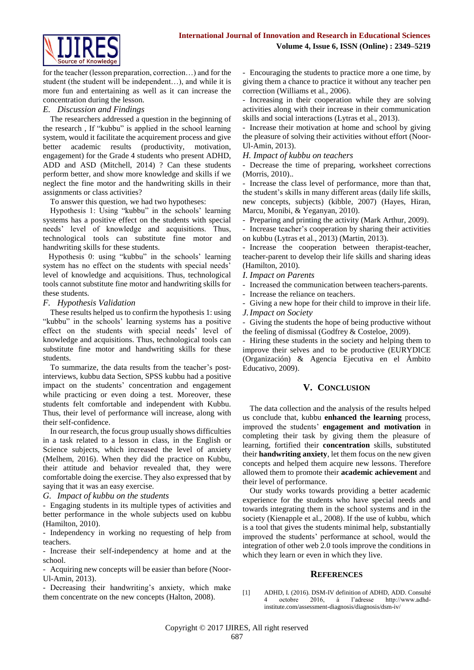

for the teacher (lesson preparation, correction…) and for the student (the student will be independent…), and while it is more fun and entertaining as well as it can increase the concentration during the lesson.

## *E. Discussion and Findings*

The researchers addressed a question in the beginning of the research , If "kubbu" is applied in the school learning system, would it facilitate the acquirement process and give better academic results (productivity, motivation, engagement) for the Grade 4 students who present ADHD, ADD and ASD (Mitchell, 2014) ? Can these students perform better, and show more knowledge and skills if we neglect the fine motor and the handwriting skills in their assignments or class activities?

To answer this question, we had two hypotheses:

Hypothesis 1: Using "kubbu" in the schools' learning systems has a positive effect on the students with special needs' level of knowledge and acquisitions. Thus, technological tools can substitute fine motor and handwriting skills for these students.

Hypothesis 0: using "kubbu" in the schools' learning system has no effect on the students with special needs' level of knowledge and acquisitions. Thus, technological tools cannot substitute fine motor and handwriting skills for these students.

# *F. Hypothesis Validation*

These results helped us to confirm the hypothesis 1: using "kubbu" in the schools' learning systems has a positive effect on the students with special needs' level of knowledge and acquisitions. Thus, technological tools can substitute fine motor and handwriting skills for these students.

To summarize, the data results from the teacher's postinterviews, kubbu data Section, SPSS kubbu had a positive impact on the students' concentration and engagement while practicing or even doing a test. Moreover, these students felt comfortable and independent with Kubbu. Thus, their level of performance will increase, along with their self-confidence.

In our research, the focus group usually shows difficulties in a task related to a lesson in class, in the English or Science subjects, which increased the level of anxiety (Melhem, 2016). When they did the practice on Kubbu, their attitude and behavior revealed that, they were comfortable doing the exercise. They also expressed that by saying that it was an easy exercise.

## *G. Impact of kubbu on the students*

- Engaging students in its multiple types of activities and better performance in the whole subjects used on kubbu (Hamilton, 2010).

- Independency in working no requesting of help from teachers.

- Increase their self-independency at home and at the school.

- Acquiring new concepts will be easier than before (Noor-Ul-Amin, 2013).

- Decreasing their handwriting's anxiety, which make them concentrate on the new concepts (Halton, 2008).

- Encouraging the students to practice more a one time, by giving them a chance to practice it without any teacher pen correction (Williams et al., 2006).

- Increasing in their cooperation while they are solving activities along with their increase in their communication skills and social interactions (Lytras et al., 2013).

- Increase their motivation at home and school by giving the pleasure of solving their activities without effort (Noor-Ul-Amin, 2013).

*H. Impact of kubbu on teachers*

- Decrease the time of preparing, worksheet corrections (Morris, 2010)..

- Increase the class level of performance, more than that, the student's skills in many different areas (daily life skills, new concepts, subjects) (kibble, 2007) (Hayes, Hiran, Marcu, Monibi, & Yeganyan, 2010).

- Preparing and printing the activity (Mark Arthur, 2009).

- Increase teacher's cooperation by sharing their activities on kubbu (Lytras et al., 2013) (Martin, 2013).

- Increase the cooperation between therapist-teacher, teacher-parent to develop their life skills and sharing ideas (Hamilton, 2010).

## *I. Impact on Parents*

- Increased the communication between teachers-parents.

Increase the reliance on teachers.

Giving a new hope for their child to improve in their life. *J.Impact on Society*

- Giving the students the hope of being productive without the feeling of dismissal (Godfrey & Costeloe, 2009).

- Hiring these students in the society and helping them to improve their selves and to be productive (EURYDICE (Organización) & Agencia Ejecutiva en el Ámbito Educativo, 2009).

# **V. CONCLUSION**

The data collection and the analysis of the results helped us conclude that, kubbu **enhanced the learning** process, improved the students' **engagement and motivation** in completing their task by giving them the pleasure of learning, fortified their **concentration** skills, substituted their **handwriting anxiety**, let them focus on the new given concepts and helped them acquire new lessons. Therefore allowed them to promote their **academic achievement** and their level of performance.

Our study works towards providing a better academic experience for the students who have special needs and towards integrating them in the school systems and in the society (Kienapple et al., 2008). If the use of kubbu, which is a tool that gives the students minimal help, substantially improved the students' performance at school, would the integration of other web 2.0 tools improve the conditions in which they learn or even in which they live.

## **REFERENCES**

[1] ADHD, I. (2016). DSM-IV definition of ADHD, ADD. Consulté octobre 2016, à l'adresse http://www.adhdinstitute.com/assessment-diagnosis/diagnosis/dsm-iv/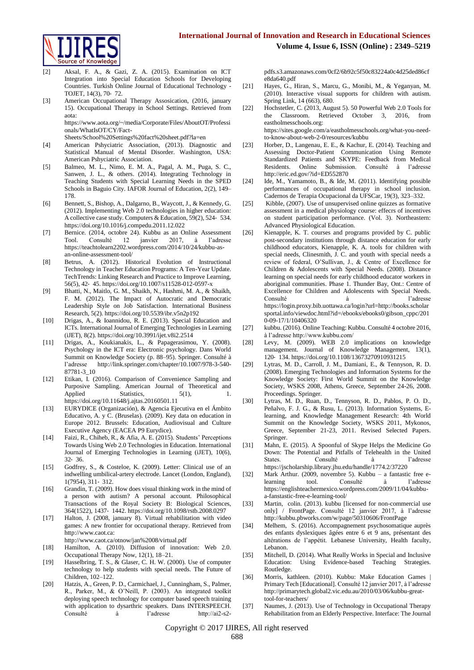

- [2] Aksal, F. A., & Gazi, Z. A. (2015). Examination on ICT Integration into Special Education Schools for Developing Countries. Turkish Online Journal of Educational Technology - TOJET, 14(3), 70‑ 72.
- [3] American Occupational Therapy Assosication, (2016, january 15). Occupational Therapy in School Settings. Retrieved from aota: https://www.aota.org/~/media/Corporate/Files/AboutOT/Professi

onals/WhatIsOT/CY/Fact-

Sheets/School%20Settings%20fact%20sheet.pdf?la=en

- [4] American Pshyciatric Association, (2013). Diagnostic and Statistical Manual of Mental Disorder. Washington, USA: American Pshyciatric Association.
- [5] Balmeo, M. L., Nimo, E. M. A., Pagal, A. M., Puga, S. C., Sanwen, J. L., & others. (2014). Integrating Technology in Teaching Students with Special Learning Needs in the SPED Schools in Baguio City. IAFOR Journal of Education, 2(2), 149– 178.
- [6] Bennett, S., Bishop, A., Dalgarno, B., Waycott, J., & Kennedy, G. (2012). Implementing Web 2.0 technologies in higher education: A collective case study. Computers & Education, 59(2), 524‑ 534. https://doi.org/10.1016/j.compedu.2011.12.022
- [7] Bernice. (2014, octobre 24). Kubbu as an Online Assessment Tool. Consulté 12 janvier 2017, à l'adresse https://teachtolearn2202.wordpress.com/2014/10/24/kubbu-asan-online-assessment-tool/
- [8] Betrus, A. (2012). Historical Evolution of Instructional Technology in Teacher Education Programs: A Ten-Year Update. TechTrends: Linking Research and Practice to Improve Learning, 56(5), 42‑ 45. https://doi.org/10.1007/s11528-012-0597-x
- [9] Bhatti, N., Maitlo, G. M., Shaikh, N., Hashmi, M. A., & Shaikh, F. M. (2012). The Impact of Autocratic and Democratic Leadership Style on Job Satisfaction. International Business Research, 5(2). https://doi.org/10.5539/ibr.v5n2p192
- [10] Drigas, A., & Ioannidou, R. E. (2013). Special Education and ICTs. International Journal of Emerging Technologies in Learning (iJET), 8(2). https://doi.org/10.3991/ijet.v8i2.2514
- [11] Drigas, A., Koukianakis, L., & Papagerasimou, Y. (2008). Psychology in the ICT era: Electronic psychology. Dans World Summit on Knowledge Society (p. 88–95). Springer. Consulté à l'adresse http://link.springer.com/chapter/10.1007/978-3-540- 87781-3\_10
- [12] Etikan, I. (2016). Comparison of Convenience Sampling and Purposive Sampling. American Journal of Theoretical and Applied Statistics, 5(1), 1. https://doi.org/10.11648/j.ajtas.20160501.11
- [13] EURYDICE (Organización), & Agencia Ejecutiva en el Ámbito Educativo, A. y C. (Bruselas). (2009). Key data on education in Europe 2012. Brussels: Education, Audiovisual and Culture Executive Agency (EACEA P9 Eurydice).
- [14] Faizi, R., Chiheb, R., & Afia, A. E. (2015). Students' Perceptions Towards Using Web 2.0 Technologies in Education. International Journal of Emerging Technologies in Learning (iJET), 10(6), 32‑ 36.
- [15] Godfrey, S., & Costeloe, K. (2009). Letter: Clinical use of an indwelling umbilical-artery electrode. Lancet (London, England), 1(7954), 311‑ 312.
- [16] Grandin, T. (2009). How does visual thinking work in the mind of a person with autism? A personal account. Philosophical Transactions of the Royal Society B: Biological Sciences, 364(1522), 1437‑ 1442. https://doi.org/10.1098/rstb.2008.0297
- [17] Halton, J. (2008, january 8). Virtual rehabilitation with video games: A new frontier for occupational therapy. Retrieved from http://www.caot.ca: http://www.caot.ca/otnow/jan%2008/virtual.pdf
- [18] Hamilton, A. (2010). Diffusion of innovation: Web 2.0.
- Occupational Therapy Now, 12(1), 18–21. [19] Hasselbring, T. S., & Glaser, C. H. W. (2000). Use of computer
- technology to help students with special needs. The Future of Children, 102–122.
- [20] Hatzis, A., Green, P. D., Carmichael, J., Cunningham, S., Palmer, R., Parker, M., & O'Neill, P. (2003). An integrated toolkit deploying speech technology for computer based speech training with application to dysarthric speakers. Dans INTERSPEECH. Consulté à l'adresse http://ai2-s2-

pdfs.s3.amazonaws.com/0cf2/6b92c5f50c83224a0c4d25ded86cf e8da640.pdf

- [21] Hayes, G., Hiran, S., Marcu, G., Monibi, M., & Yeganyan, M. (2010). Interactive visual supports for children with autism. Spring Link, 14 (663), 680.
- [22] Hochstetler, C. (2013, August 5). 50 Powerful Web 2.0 Tools for the Classroom. Retrieved October 3, 2016, from eastholmesschools.org: https://sites.google.com/a/eastholmesschools.org/what-you-need-

to-know-about-web-2-0/resources/kubbu

- [23] Horber, D., Langenau, E. E., & Kachur, E. (2014). Teaching and Assessing Doctor-Patient Communication Using Remote Standardized Patients and SKYPE: Feedback from Medical Residents. Online Submission. Consulté à l'adresse http://eric.ed.gov/?id=ED552870
- [24] Ide, M., Yamamoto, B., & Ide, M. (2011). Identifying possible performances of occupational therapy in school inclusion. Cadernos de Terapia Ocupacional da UFSCar, 19(3), 323–332.
- [25] Kibble, (2007). Use of unsupervised online quizzes as formative assessment in a medical physiology course: effecrs of incentives on student participation performance. (Vol. 3). Northeastern: Advanced Physiological Education.
- [26] Kienapple, K. T. courses and programs provided by C. public post-secondary institutions through distance education for early childhood educators, Kienapple, K. A. tools for children with special needs, Clinesmith, J. C. and youth with special needs a review of federal, O'Sullivan, J., & Centre of Excellence for Children & Adolescents with Special Needs. (2008). Distance learning on special needs for early childhood educator workers in aboriginal communities. Phase 1. Thunder Bay, Ont.: Centre of Excellence for Children and Adolescents with Special Needs. Consulté à l'adresse https://login.proxy.bib.uottawa.ca/login?url=http://books.scholar sportal.info/viewdoc.html?id=/ebooks/ebooks0/gibson\_cppc/201 0-09-17/1/10406320
- [27] kubbu. (2016). Online Teaching: Kubbu. Consulté 4 octobre 2016, à l'adresse http://www.kubbu.com/
- [28] Levy, M. (2009). WEB 2.0 implications on knowledge management. Journal of Knowledge Management, 13(1), 120‑ 134. https://doi.org/10.1108/13673270910931215
- [29] Lytras, M. D., Carroll, J. M., Damiani, E., & Tennyson, R. D. (2008). Emerging Technologies and Information Systems for the Knowledge Society: First World Summit on the Knowledge Society, WSKS 2008, Athens, Greece, September 24-26, 2008. Proceedings. Springer.
- [30] Lytras, M. D., Ruan, D., Tennyson, R. D., Pablos, P. O. D., Peñalvo, F. J. G., & Rusu, L. (2013). Information Systems, Elearning, and Knowledge Management Research: 4th World Summit on the Knowledge Society, WSKS 2011, Mykonos, Greece, September 21-23, 2011. Revised Selected Papers. Springer.
- [31] Mahn, E. (2015). A Spoonful of Skype Helps the Medicine Go Down: The Potential and Pitfalls of Telehealth in the United States. Consulté à l'adresse https://jscholarship.library.jhu.edu/handle/1774.2/37220
- [32] Mark Arthur. (2009, novembre 5). Kubbu a fantastic free elearning tool. Consulté à l'adresse https://englishteachermexico.wordpress.com/2009/11/04/kubbua-fanstastic-free-e-learning-tool/
- [33] Martin, colin. (2013). kubbu [licensed for non-commercial use only] / FrontPage. Consulté 12 janvier 2017, à l'adresse http://kubbu.pbworks.com/w/page/50310606/FrontPage
- [34] Melhem, S. (2016). Accompagnement psychosomatique auprès des enfants dyslexiques âgées entre 6 et 9 ans, présentant des altérations de l'appétit. Lebanese University, Health faculty, Lebanon.
- [35] Mitchell, D. (2014). What Really Works in Special and Inclusive Education: Using Evidence-based Teaching Strategies. Routledge.
- [36] Morris, kathleen. (2010). Kubbu: Make Education Games Primary Tech [Educational]. Consulté 12 janvier 2017, à l'adresse http://primarytech.global2.vic.edu.au/2010/03/06/kubbu-greattool-for-teachers/
- [37] Naumes, J. (2013). Use of Technology in Occupational Therapy Rehabilitation from an Elderly Perspective. Interface: The Journal

Copyright © 2017 IJIRES, All right reserved